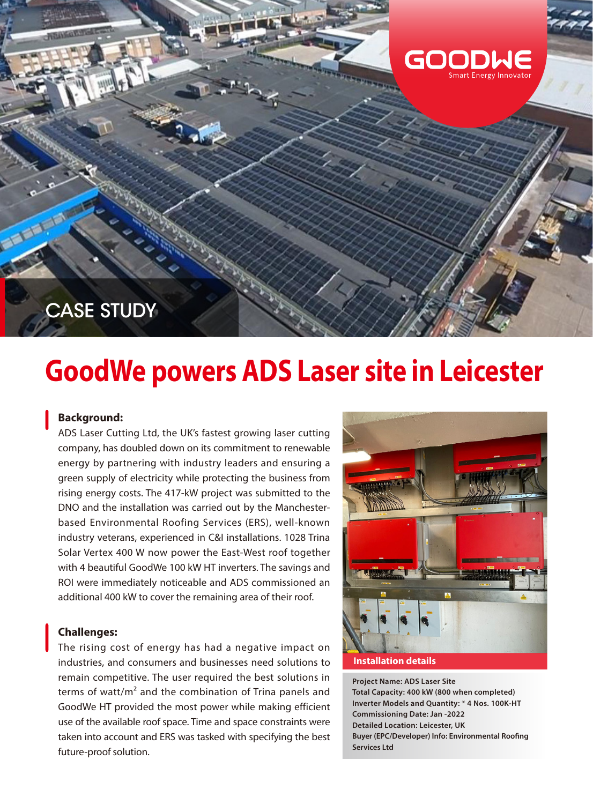

# **GoodWe powers ADS Laser site in Leicester**

## **Background:**

ADS Laser Cutting Ltd, the UK's fastest growing laser cutting company, has doubled down on its commitment to renewable energy by partnering with industry leaders and ensuring a green supply of electricity while protecting the business from rising energy costs. The 417-kW project was submitted to the DNO and the installation was carried out by the Manchesterbased Environmental Roofing Services (ERS), well-known industry veterans, experienced in C&I installations. 1028 Trina Solar Vertex 400 W now power the East-West roof together with 4 beautiful GoodWe 100 kW HT inverters. The savings and ROI were immediately noticeable and ADS commissioned an additional 400 kW to cover the remaining area of their roof.

## **Challenges:**

The rising cost of energy has had a negative impact on industries, and consumers and businesses need solutions to remain competitive. The user required the best solutions in terms of watt/m² and the combination of Trina panels and GoodWe HT provided the most power while making efficient use of the available roof space. Time and space constraints were taken into account and ERS was tasked with specifying the best future-proof solution.



#### **Installation details**

**Project Name: ADS Laser Site Total Capacity: 400 kW (800 when completed) Inverter Models and Quantity: \* 4 Nos. 100K-HT Commissioning Date: Jan -2022 Detailed Location: Leicester, UK Buyer (EPC/Developer) Info: Environmental Roofing Services Ltd**